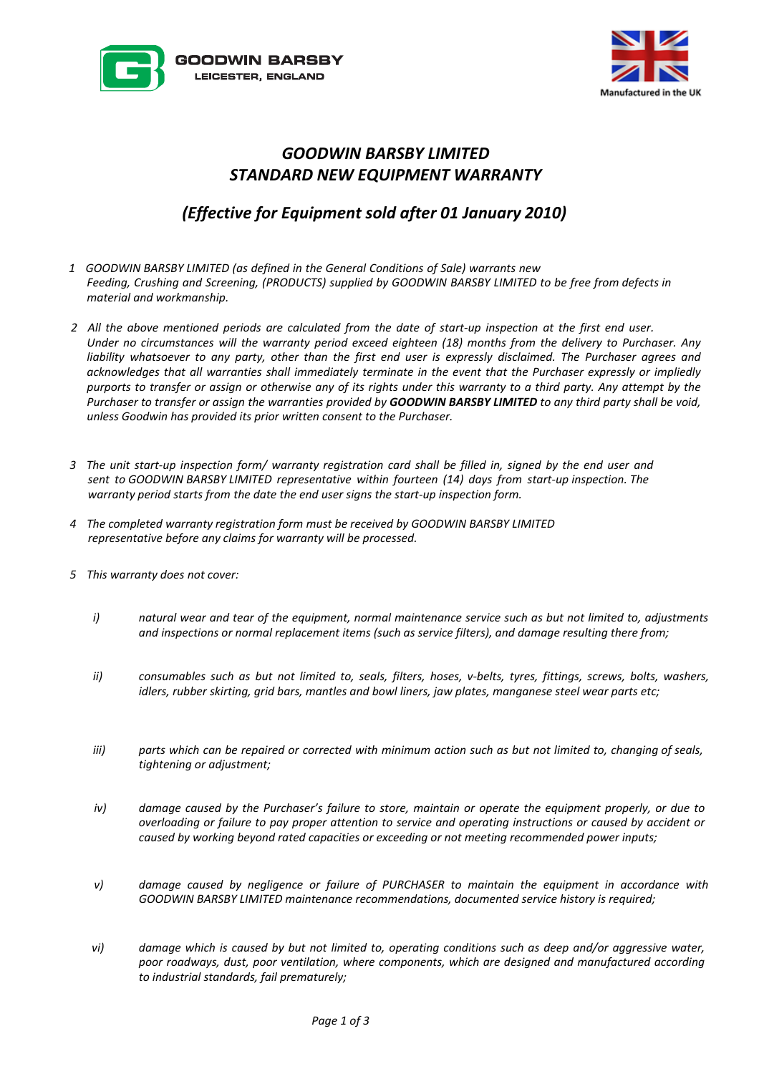



## *GOODWIN BARSBY LIMITED STANDARD NEW EQUIPMENT WARRANTY*

## *(Effective for Equipment sold after 01 January 2010)*

- *1 GOODWIN BARSBY LIMITED (as defined in the General Conditions of Sale) warrants new Feeding, Crushing and Screening, (PRODUCTS) supplied by GOODWIN BARSBY LIMITED to be free from defects in material and workmanship.*
- *2 All the above mentioned periods are calculated from the date of start-up inspection at the first end user. Under no circumstances will the warranty period exceed eighteen (18) months from the delivery to Purchaser. Any liability whatsoever to any party, other than the first end user is expressly disclaimed. The Purchaser agrees and acknowledges that all warranties shall immediately terminate in the event that the Purchaser expressly or impliedly purports to transfer or assign or otherwise any of its rights under this warranty to a third party. Any attempt by the Purchaser to transfer or assign the warranties provided by GOODWIN BARSBY LIMITED to any third party shall be void, unless Goodwin has provided its prior written consent to the Purchaser.*
- *3 The unit start-up inspection form/ warranty registration card shall be filled in, signed by the end user and sent to GOODWIN BARSBY LIMITED representative within fourteen (14) days from start-up inspection. The warranty period starts from the date the end user signs the start-up inspection form.*
- *4 The completed warranty registration form must be received by GOODWIN BARSBY LIMITED representative before any claims for warranty will be processed.*
- *5 This warranty does not cover:* 
	- *i) natural wear and tear of the equipment, normal maintenance service such as but not limited to, adjustments and inspections or normal replacement items (such as service filters), and damage resulting there from;*
	- *ii) consumables such as but not limited to, seals, filters, hoses, v-belts, tyres, fittings, screws, bolts, washers, idlers, rubber skirting, grid bars, mantles and bowl liners, jaw plates, manganese steel wear parts etc;*
	- *iii) parts which can be repaired or corrected with minimum action such as but not limited to, changing of seals, tightening or adjustment;*
	- *iv) damage caused by the Purchaser's failure to store, maintain or operate the equipment properly, or due to overloading or failure to pay proper attention to service and operating instructions or caused by accident or caused by working beyond rated capacities or exceeding or not meeting recommended power inputs;*
	- *v) damage caused by negligence or failure of PURCHASER to maintain the equipment in accordance with GOODWIN BARSBY LIMITED maintenance recommendations, documented service history is required;*
	- *vi) damage which is caused by but not limited to, operating conditions such as deep and/or aggressive water, poor roadways, dust, poor ventilation, where components, which are designed and manufactured according to industrial standards, fail prematurely;*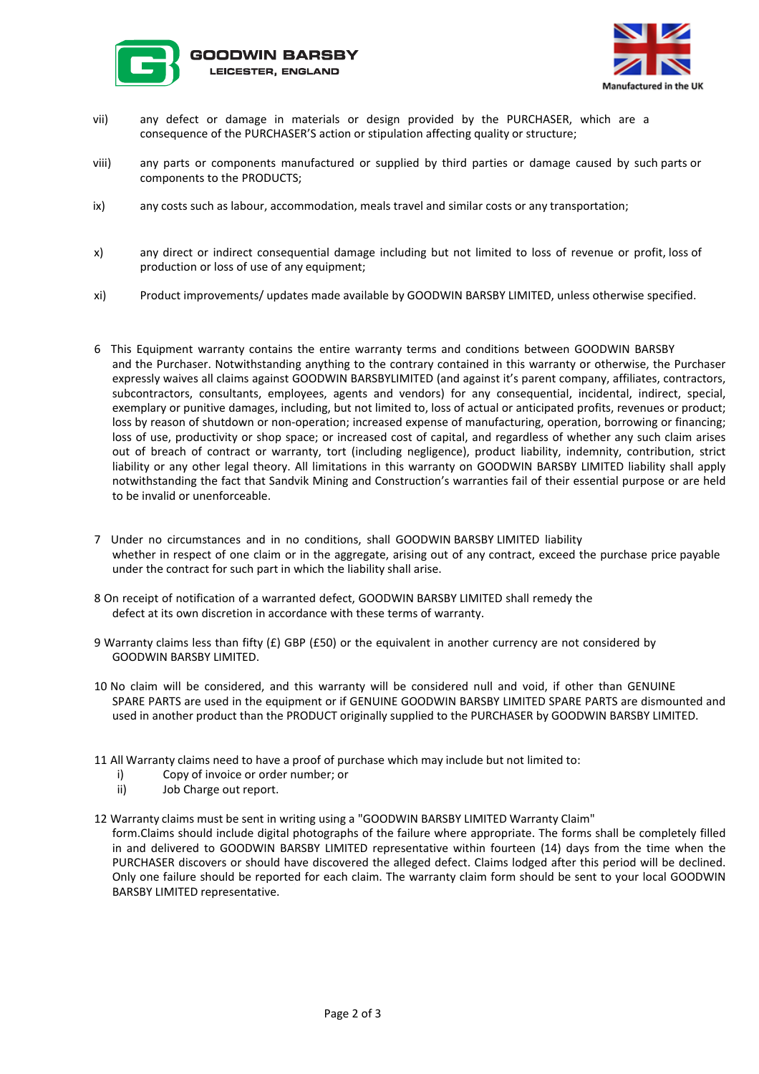



- vii) any defect or damage in materials or design provided by the PURCHASER, which are a consequence of the PURCHASER'S action or stipulation affecting quality or structure;
- viii) any parts or components manufactured or supplied by third parties or damage caused by such parts or components to the PRODUCTS;
- ix) any costs such as labour, accommodation, meals travel and similar costs or any transportation;
- x) any direct or indirect consequential damage including but not limited to loss of revenue or profit, loss of production or loss of use of any equipment;
- xi) Product improvements/ updates made available by GOODWIN BARSBY LIMITED, unless otherwise specified.
- 6 This Equipment warranty contains the entire warranty terms and conditions between GOODWIN BARSBY and the Purchaser. Notwithstanding anything to the contrary contained in this warranty or otherwise, the Purchaser expressly waives all claims against GOODWIN BARSBYLIMITED (and against it's parent company, affiliates, contractors, subcontractors, consultants, employees, agents and vendors) for any consequential, incidental, indirect, special, exemplary or punitive damages, including, but not limited to, loss of actual or anticipated profits, revenues or product; loss by reason of shutdown or non-operation; increased expense of manufacturing, operation, borrowing or financing; loss of use, productivity or shop space; or increased cost of capital, and regardless of whether any such claim arises out of breach of contract or warranty, tort (including negligence), product liability, indemnity, contribution, strict liability or any other legal theory. All limitations in this warranty on GOODWIN BARSBY LIMITED liability shall apply notwithstanding the fact that Sandvik Mining and Construction's warranties fail of their essential purpose or are held to be invalid or unenforceable.
- 7 Under no circumstances and in no conditions, shall GOODWIN BARSBY LIMITED liability whether in respect of one claim or in the aggregate, arising out of any contract, exceed the purchase price payable under the contract for such part in which the liability shall arise.
- 8 On receipt of notification of a warranted defect, GOODWIN BARSBY LIMITED shall remedy the defect at its own discretion in accordance with these terms of warranty.
- 9 Warranty claims less than fifty (£) GBP (£50) or the equivalent in another currency are not considered by GOODWIN BARSBY LIMITED.
- 10 No claim will be considered, and this warranty will be considered null and void, if other than GENUINE SPARE PARTS are used in the equipment or if GENUINE GOODWIN BARSBY LIMITED SPARE PARTS are dismounted and used in another product than the PRODUCT originally supplied to the PURCHASER by GOODWIN BARSBY LIMITED.
- 11 All Warranty claims need to have a proof of purchase which may include but not limited to:
	- i) Copy of invoice or order number; or
	- ii) Job Charge out report.
- 12 Warranty claims must be sent in writing using a "GOODWIN BARSBY LIMITED Warranty Claim" form.Claims should include digital photographs of the failure where appropriate. The forms shall be completely filled in and delivered to GOODWIN BARSBY LIMITED representative within fourteen (14) days from the time when the PURCHASER discovers or should have discovered the alleged defect. Claims lodged after this period will be declined. Only one failure should be reported for each claim. The warranty claim form should be sent to your local GOODWIN BARSBY LIMITED representative.